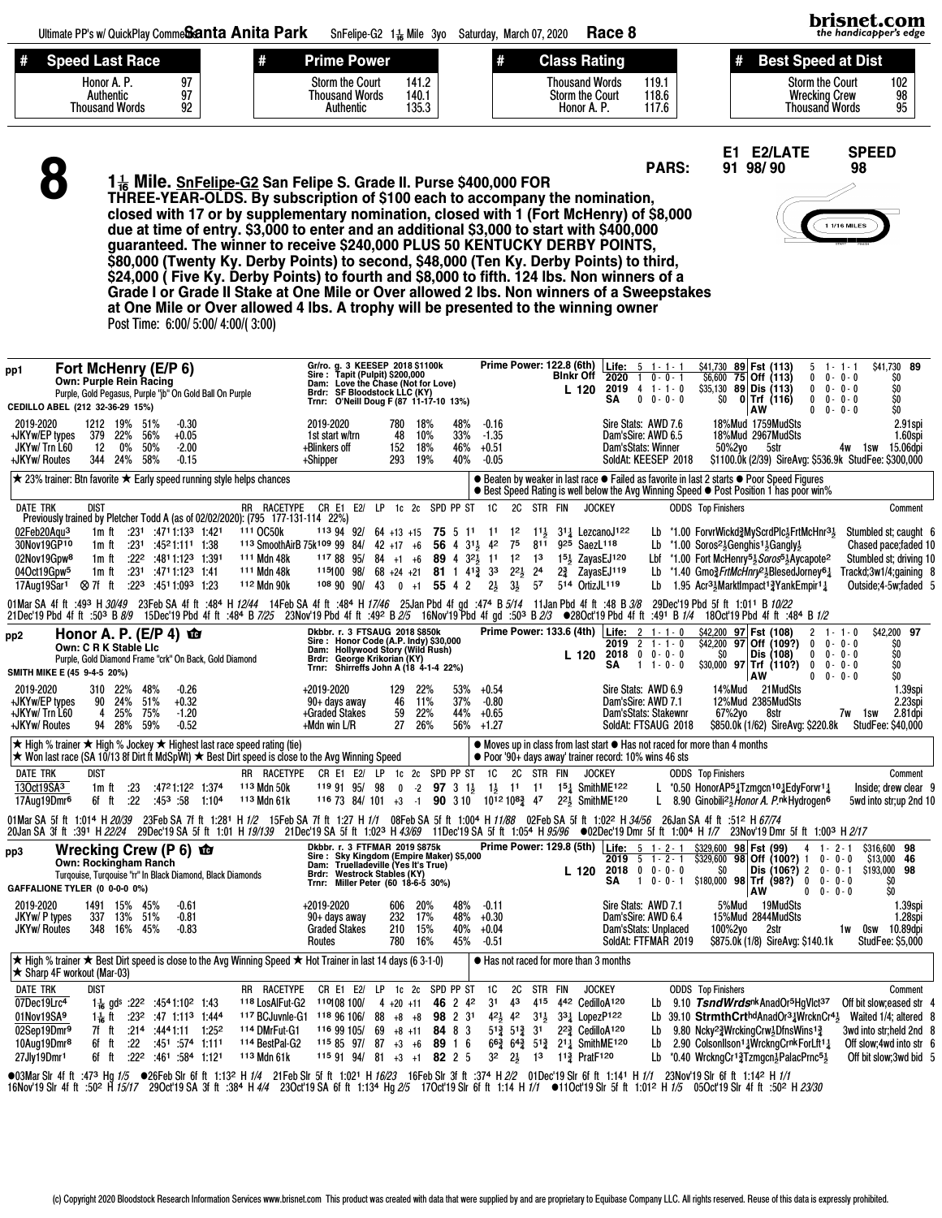brisnet.com Ultimate PP's w/ QuickPlay Comme**Santa Anita Park** SnFelipe-G2 1 $\frac{1}{16}$  Mile 3yo Saturday, March 07, 2020 Race 8 the handicapper's edge # Speed Last Race # Prime Power # Class Rating # Best Speed at Dist Honor A. P. 97<br>Authentic 97 Storm the Court 102<br>
Wrecking Crew 98<br>
Thousand Words 95 Storm the Court 141.2<br>Thousand Words 140.1 Thousand Words 119.1<br>Storm the Court 118.6 Thousand Words 140.1<br>Authentic 135.3 Authentic 97<br>wsand Words 92 Storm the Court 118.6<br>Honor A. P. 117.6 Wrecking Crew Thousand Words **Thousand Words Authentic** Honor A. P. E1 E2/LATE SPEED<br>91 98/90 98 8 PARS: 91 98/ 90 1<sup>1</sup>/<sub>6</sub> Mile. SnFelipe-G2 San Felipe S. Grade II. Purse \$400,000 FOR THREE-YEAR-OLDS. By subscription of \$100 each to accompany the nomination, closed with 17 or by supplementary nomination, closed with 1 (Fort McHenry) of \$8,000 1 1/16 MILES due at time of entry. \$3,000 to enter and an additional \$3,000 to start with \$400,000 guaranteed. The winner to receive \$240,000 PLUS 50 KENTUCKY DERBY POINTS, \$80,000 (Twenty Ky. Derby Points) to second, \$48,000 (Ten Ky. Derby Points) to third, \$24,000 ( Five Ky. Derby Points) to fourth and \$8,000 to fifth. 124 lbs. Non winners of a Grade I or Grade II Stake at One Mile or Over allowed 2 lbs. Non winners of a Sweepstakes at One Mile or Over allowed 4 lbs. A trophy will be presented to the winning owner Post Time: 6:00/ 5:00/ 4:00/( 3:00) Fst (113) 5 1 - 1 - 1 - \$41,730 89<br>Off (113) 0 0 - 0 - 0 - 50<br>Dis (113) 0 0 - 0 - 0 - 50<br>Trf (116) 0 0 - 0 - 0 - 50 pp1 Fort McHenry (E/P 6) Gr/ro. g. 3 KEESEP 2018 \$1100k Sire : Tapit (Pulpit) \$200,000 Dam: Love the Chase (Not for Love) Brdr: SF Bloodstock LLC (KY) Prime Power: 122.8 (6th) | <u>Life: 5 1 - 1 - 1 - \$41,730 89</u><br>Blnkr Off 2020 1 0 - 0 - 1 - \$6,600 75 Off  $(113)$  0<br>Dis  $(113)$  0<br>Trf  $(116)$  0 **Own: Purple Rein Racing<br>Purple, Gold Pegasus, Purple "jb" On Gold Ball On Purple** 2020 1 0 - 0 - 1 \$6,600 75 2019 4 1 - 1 - 0 \$35,130 89  $0 - 0 - 0$ <br> $0 - 0 - 0$ L 120 2019 4 1 - 1 - 0 \$35,130 89 Dis<br>SA 0 0 - 0 - 0 50 0 Trf Purple, Gold Pegasus, Purple "jb" Trf (116) 0 0 - 0 - 0 \$0 Trnr: O'Neill Doug F (87 11-17-10 13%) CEDILLO ABEL (212 32-36-29 15%)  $0 - 0 - 0$ 2019-2020 1212 19% 51% -0.30 Sire Stats: AWD 7.6 18%Mud 1759MudSts 2.91spi 2.91spi 2.91spi 2.91spi 2.91spi 2.91spi 2.91spi 2.91spi 2.91spi 2.91spi 2.91spi 2.91spi 2.91spi 2.91spi 2.91spi 2.91spi 2.91spi 2.91spi 2.921spi 2.921spi 2.921spi 2.921spi 2.92 2019-2020 780 18% 48% -0.16 18%Mud 2967MudSts<br>1.60spi<br>50%2vo 5str 4w 1sw 15.06dpi +JKYw/EP types 379 22% 56% +0.05 1st start w/trn 48 10% 33% -1.35 Dam'sStats: Winner<br>SoldAt: KEESEP 2018 JKYw/ Trn L60 12 0% 50% -2.00 +Blinkers off 152 18% 46% +0.51 \$1100.0k (2/39) SireAvg: \$536.9k StudFee: \$300,000 +JKYw/ Routes +Shipper ★ 23% trainer: Btn favorite ★ Early speed running style helps chances  $\bullet$  Beaten by weaker in last race  $\bullet$  Failed as favorite in last 2 starts  $\bullet$  Poor Speed Figures ● Best Speed Rating is well below the Avg Winning Speed ● Post Position 1 has poor win% PR RACETYPE CR E1 E2<br>Previously trained by Pletcher Todd A (as of 02/02/2020): (795 177-131-114 22%)<br><u>02Feb20Aqu<sup>3</sup> 1m</u> ft :231 :4711:133 1:421 111 OC50k 113 94 92/ DATE TRK DIST \_\_\_\_\_\_\_\_\_\_\_\_\_\_RR RACETYPE CR E1 E2/ LP 1c 2c SPD PP ST 1C 2C STR FIN JOCKEY ODDS Top Finishers Comment 02Feb20Aqu<sup>3</sup> 1m ft :231 :4711:13<sup>3</sup> 1:421 <sup>111</sup> OC50k <sup>113</sup> 94 92/ 64 +13 +15 75 5 11 1<sup>1</sup> 1<sup>2</sup> 1½ LezcanoJ<sup>122</sup> Lb \*1.00 ForvrWickd≹MyScrdPlc½FrtMcHnr<sup>3</sup>½ Stumbled st; caught 6<br>30Nov19GP<sup>10</sup> 1m ft :231 :4521:111 1:38 <sup>11</sup> 30Nov19GP¨§ 1m ft :23¨ :45©1:11¨ 1:38 ¨¨ª SmoothAirB 75k¨§° 99 84/ 42 +17 +6 56 4 3¨ 4© 7¬ 8¨¨ 9©¬ SaezL¨¨¯ Lb \*1.00 Soros©Genghis¨Gangly Chased pace;faded 10 02Nov19Gpw® 1m ft :22º :4811:12ª 1:391 111 Mdn 48k 117 88 95/ 84 +1 +6 89 4 3º 1 12 13 15½ ZayasEJ12º Lbf \*1.00 Fort McHenry<sup>5</sup>½*Soros*®½Aycapote<sup>2</sup> Stumbled st; driving 10<br><u>04Oct19Gpw</u>5 1m ft :231 :4711:12ª 1:41 111 04Oct19Gpw<sup>5</sup> 1m ft :23° :4711:12<sup>3</sup> 1:41 111 Mdn 48k <sup>115</sup>100 98/ 68 +24 +21 **81** 1 41≩ 3<sup>3</sup> 2<sup>2</sup>½ 24 2≩ ZayasEJ<sup>119</sup> Lb \*1.40 Gmo≩*FrtMcHnry*<sup>2</sup>½BlesedJorney©‡ Trackd;3w1/4;gaining 8<br>17Aug19Sar1 ⊗7f ft :22<sup>3</sup> :4511:093 1.95 Acr<sup>31</sup><sub>s</sub>MarktImpact<sup>1</sup><sup>3</sup>/ankEmpir<sup>11</sup> 01MarSA 4fft :493 H*30/49* 23FebSA 4fft :484 H*12/44* 14FebSA 4fft :484 H*17/46* 25JanPbd 4fgd :474 B*5/14* 11JanPbd 4fft :48 B*3/8* 29Dec'19Pbd 5fft 1:011 B*10/22*<br>21Dec'19Pbd 4fft :503 B*8/9* 15Dec'19Pbd 4fft :484 B*7/2*  $\frac{41 \text{ yu} \cdot 30^\circ}{200 \text{ N}}$  D  $\frac{24 \times 1000 \text{ m}}{201 \text{ N}}$   $\frac{1 \text{ m}}{201 \text{ N}}$   $\frac{1 \text{ m}}{201 \text{ N}}$   $\frac{1 \text{ m}}{201 \text{ N}}$   $\frac{1 \text{ m}}{201 \text{ N}}$   $\frac{1 \text{ m}}{201 \text{ N}}$   $\frac{1 \text{ m}}{201 \text{ N}}$   $\frac{1 \text{ m}}{201 \text{ N}}$   $\frac{1 \text{ m}}{20$ pp2 Honor A. P.  $(E/P 4)$   $\mathbf{\hat{u}}$ Dkbbr. r. 3 FTSAUG 2018 \$850k Sire : Honor Code (A.P. Indy) \$30,000 Dam: Hollywood Story (Wild Rush) Brdr: George Krikorian (KY) <u>Life: 2 1 - 1 - 0 \$42,200 97</u> | Fst (108) 2 1 - 1 - 0 \$42,200 97<br>2019 2 1 - 1 - 0 \$42,200 97 | Off (109?) 0 0 - 0 - 0 \$0 Off (109?) 0 0-0-0<br>Dis (108) 0 0-0-0 \$0<br>Trf (110?) 0 0-0-0 \$0 Own: C R K Stable Lic 2018 0 0 - 0 - 0 \$0<br> **SA** 1 1 - 0 - 0 \$30,000 Purple, Gold Diamond Frame "crk" On Back, Gold Diamond L 120  $1 - 0 - 0$  \$30,000 97 Trf Trnr: Shirreffs John A (18 4-1-4 22%) SMITH MIKE E (45 9-4-5 20%)  $0 \t 0 \t 0 \t 0$   $\infty$ 2019-2020 310 22% 48% -0.26 Sire Stats: AWD 6.9 14%Mud 21MudSts 1.39spi<br>Dam'sSire: AWD 7.1 12%Mud 2385MudSts 2.23spi +2019-2020 129 22% 53% +0.54 +JKYw/EP types 90 24% 51% +0.32 Dam'sSire: AWD 7.1 12%Mud 2385MudSts 2.23spi 90+ days away 46 11% 37% -0.80 +JKYw/ Trn L60 4 25% 75% -1.20 +Graded Stakes 59 22% 44% +0.65 Dam'sStats: Stakewnr 67%2yo 8str 7w 1sw 2.81dpi<br>SoldAt: FTSAUG 2018 \$850.0k (1/62) SireAvg: \$220.8k StudFee: \$40,000 +JKYw/ Routes +Mdn win L/R 27 26% 56% +1.27 \$850.0k (1/62) SireAvg: \$220.8k ★ High % trainer ★ High % Jockey ★ Highest last race speed rating (tie) ● Moves up in class from last start ● Has not raced for more than 4 months ★ Won last race (SA 10/13 8f Dirt ft MdSpWt) ★ Best Dirt speed is close to the Avg Winning Speed × Poor '90+ days away' trainer record: 10% wins 46 sts DATE TRK DIST RR RACETYPE CR E1 E2/ LP 1c 2c SPD PP ST 1C 2C STR FIN JOCKEY ODDS Top Finishers Comment 13Oct19SAª 1m ft :23 :47©1:12© 1:37« ¨¨ª Mdn 50k ¨¨° 91 95/ 98 0 -2 97 3 1 1 1¨ 1¨ 1¬' SmithME¨©© L \*0.50 HonorAP¬'Tzmgcn¨§'EdyForvr¨' Inside; drew clear 9 8.90 Ginobili<sup>21</sup><sub>3</sub> Honor A. P.nk Hydrogen<sup>6</sup> 01Mar SA 5f ft 1:014 H 20/39 23Feb SA 7f ft 1:28<sup>1</sup> H 1/2 15Feb SA 7f ft 1:27 H 1/1 08Feb SA 5f ft 1:004 H 11/88 02Feb SA 5f ft 1:02<sup>2</sup> H 34/56 26Jan SA 4f ft :51<sup>2</sup> H 67/74 20Jan SA 3f ft :391 H 22/24 29Dec19 SA 5f ft 1:01 H 19/139 21Dec'19 SA 5f ft 1:02ª H 43/69 11Dec'19 SA 5f ft 1:05ª H 95/96 ●02Dec'19 Dmr 5f ft 1:004 H 1/7 23Nov19 Dmr 5f ft 1:00ª H 2/17 Prime Power: 129.8 (5th)  $\frac{\text{Life:} 5 \cdot 1 \cdot 2 \cdot 1}{2019 \cdot 5 \cdot 1 \cdot 2 \cdot 1}$  $\frac{1 - 2 - 1}{1 - 2 - 1}$  \$329,600<br>0 - 0 - 0 \$329,600 **98 Fst (99)** 4 1 - 2 - 1 \$316,600 98<br>**98 Off (100?)** 1 0 - 0 - 0 \$13,000 46 pp3 Wrecking Crew (P 6) **i** Dkbbr. r. 3 FTFMAR 2019 \$875k Sire : Sky Kingdom (Empire Maker) \$5,000 Dam: Truelladeville (Yes It's True) Brdr: Westrock Stables (KY) Off (100?) 1 0 - 0 - 0 \$13,000 46<br>Dis (106?) 2 0 - 0 - 1 \$193,000 98 Own: Rockingham Ranch **Dis (106?)** 2 0 - 0 - 1 \$193,000<br>**Trf (98?)** 0 0 - 0 - 0 \$0 L 120 2018 0 0 - 0 - 0<br>SA 1 0 - 0 - 1 Turqouise, Turqouise "rr" In Black Diamond, Black Diamonds  $$180,000$  98 Trf  $Trf$  (98?)  $\overline{0}$   $\overline{0}$   $\overline{0}$   $\overline{0}$   $\overline{0}$   $\overline{0}$   $\overline{0}$   $\overline{0}$   $\overline{0}$   $\overline{0}$   $\overline{0}$   $\overline{0}$   $\overline{0}$   $\overline{0}$   $\overline{0}$   $\overline{0}$   $\overline{0}$   $\overline{0}$   $\overline{0}$   $\overline{0}$   $\overline{0}$   $\overline{0}$   $\overline{0}$   $\over$ Trnr: Miller Peter (60 18-6-5 30%) GAFFALIONE TYLER (0 0-0-0 0%) **.w** ^ 0 0 - 0 - 0<br>19MudSts 2019-2020 1491 15% 45% -0.61 +2019-2020 606 20% 48% -0.11 Sire Stats: AWD 7.1 5%Mud 19MudSts 1.39spi<br>Dam'sSire: AWD 6.4 15%Mud 2844MudSts 1.28spi JKYw/ P types 337 13% 51% -0.81 Dam'sSire: AWD 6.4 15%Mud 2844MudSts 1.28spi 90+ days away 232 17% 48% +0.30 JKYw/ Routes Graded Stakes 210 15% 40% +0.04<br>Routes 780 16% 45% -0.51 Dam'sStats: Unplaced 100%2yo 2str 1w 0sw 10.89dpi<br>SoldAt: FTFMAR 2019 \$875.0k (1/8) SireAvg: \$140.1k StudFee: \$5,000 \$875.0k (1/8) SireAvg: \$140.1k **Routes ★ High % trainer ★ Best Dirt speed is close to the Avg Winning Speed ★ Hot Trainer in last 14 days (6 3-1-0)**  $\bullet$  Has not raced for more than 3 months  $\star$  Sharp 4F workout (Mar-03) DATE TRK DIST RR RACETYPE CR E1 E2/ LP 1c 2c SPD PP ST 1C 2C STR FIN JOCKEY ODDS Top Finishers Comment  $\frac{07\text{Dec19Lrc}^4}{01\text{Nov19SA}^9}$  1 $\frac{1}{46}$  ft :22º :45<sup>4</sup>1:10º 1:43 □ <sup>118</sup> LosAlFut-G2 □ <sup>110</sup>108 100/ 4 +20 +11 46 2 4º 31 4<sup>3</sup> 4<sup>15</sup> 4<sup>42</sup> CedilloA<sup>120</sup> Lb 9.10 **TsndWrds**nkAnadOr<sup>5</sup>HgVlct<sup>37</sup> Off bit slow;eased str 4<br>23º :47 1:11<sup>3</sup> 1:44<sup>4</sup> □ 1<sup>17</sup> BCJuvnle-G1 □ 01Nov19SA° 1Ë ft :23° :47 1:11<sup>3</sup> 1:44<sup>4</sup> 117 BCJuvnle-G1 118 96 106/ 88 +8 +8 98 2 3<sup>1</sup> 4<sup>2</sup> 4<sup>2</sup> 3<sup>3</sup> 4 DopezP122 Lb 39.10 StrmthCrt<sup>hd</sup>AnadOr<sup>3</sup>#WrcknCr<sup>4</sup>½ Waited 1/4; altered 8<br>02Sep19Dmr® 7f ft :214 :4441:11 1:25<sup>2</sup> 02Sep19Dmr® 7f ft :214 :4441:11 1:25<sup>2</sup> 114 DMrFut-G1 116 99 105/ 69 +8 +11 84 8 3 51≩ 51≩ 31 22≩ CedilloA1<sup>:20</sup> Lb 9.80 Ncky<sup>2</sup>≩WrckingCrw½DfnsWins1≩ 3wd into str;held 2nd 8<br>10Aug19Dmr<sup>8</sup> 6f ft :22 :451 :574 1:111 114 Be 10Aug19Dmr<sup>s</sup> 6f ft :22 :45<sup>1</sup> :57<sup>4</sup> 1:11<sup>1</sup> 114 BestPal-G2 <sup>115</sup>85 97/ 87 +3 +6 89 1 6 6<sup>63</sup> 6<sup>43</sup> 5<sup>13</sup> 211 SmithME<sup>120</sup> Lb 2.90 ColsonIlson11WrckngCrnkForLft11 Off slow;4wd into str 6<br>27Jly19Dmr<sup>1</sup> 6f ft :22° :461 :58

●03Mar Slr 4f ft :47<sup>3</sup> Hg 1/5 ●26Feb Slr 6f ft 1:13<sup>2</sup> H 1/4 21Feb Slr 5f ft 1:02<sup>1</sup> H 1*6/23* 16Feb Slr 3f ft :374 H 2/2 01Dec'19 Slr 6f ft 1:14ª H 1/1 23Nov'19 Slr 6f ft 1:14ª H 1/1 16Nov'19 Slr 4f ft :50≥ H 15/17 29Oct'19 SA 3f ft :384 H 4/4 23Oct'19 SA 6f ft 1:134 Hg 2/5 17Oct'19 Slr 6f ft 1:14 H 1/1 ●11Oct'19 Slr 5f ft 1:01≧ H 1/5 05Oct'19 Slr 4f ft :50≧ H 23/30

\*0.40 WrckngCr<sup>1</sup>?Tzmgcn<sup>1</sup>/PalacPrnc<sup>51</sup>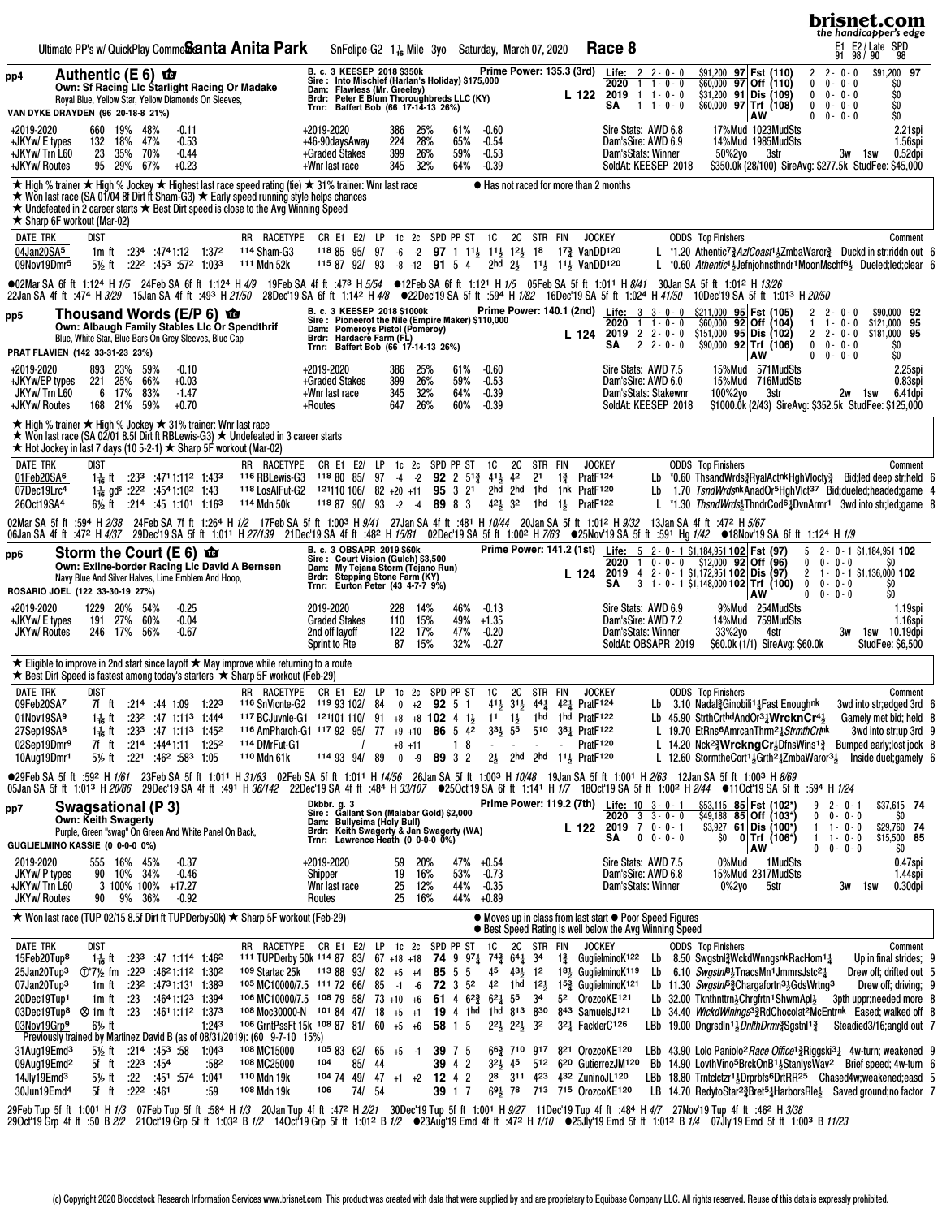| Ultimate PP's w/ QuickPlay Comme <b>Santa Anita Park</b>                                                                                                                                                                                                                                                                                                                                                                                                                         | Race 8<br>SnFelipe-G2 $1\frac{1}{16}$ Mile 3yo Saturday, March 07, 2020                                                                                                                                                                                                                                                                                                                                                                                                                                                                                                                                                                                                                                                                                                                                                                                                                                                                                                                                                                                                                   | brisnet.com<br>the handicapper's edge<br>E1 E2/Late SPD<br>91 98/90 98                                                                                                                                                                                                                                                                                                                                                                                     |
|----------------------------------------------------------------------------------------------------------------------------------------------------------------------------------------------------------------------------------------------------------------------------------------------------------------------------------------------------------------------------------------------------------------------------------------------------------------------------------|-------------------------------------------------------------------------------------------------------------------------------------------------------------------------------------------------------------------------------------------------------------------------------------------------------------------------------------------------------------------------------------------------------------------------------------------------------------------------------------------------------------------------------------------------------------------------------------------------------------------------------------------------------------------------------------------------------------------------------------------------------------------------------------------------------------------------------------------------------------------------------------------------------------------------------------------------------------------------------------------------------------------------------------------------------------------------------------------|------------------------------------------------------------------------------------------------------------------------------------------------------------------------------------------------------------------------------------------------------------------------------------------------------------------------------------------------------------------------------------------------------------------------------------------------------------|
| Authentic (E 6) $\mathbf{\hat{w}}$<br>pp4<br>Own: Sf Racing Llc Starlight Racing Or Madake<br>Royal Blue, Yellow Star, Yellow Diamonds On Sleeves,<br>VAN DYKE DRAYDEN (96 20-18-8 21%)                                                                                                                                                                                                                                                                                          | Prime Power: 135.3 (3rd) Life: 2 2 - 0 - 0<br>B. c. 3 KEESEP 2018 \$350k Prim<br>Sire : Into Mischief (Harlan's Holiday) \$175,000<br>Dam: Flawless (Mr. Greeley)<br>2020 1 1 - 0 - 0<br>$2019$ 1 1 - 0 - 0<br>L 122<br>Brdr: Peter E Blum Thoroughbreds LLC (KY)<br>Trnr: Baffert Bob (66 17-14-13 26%)<br>SΑ<br>$1 + 0 - 0$                                                                                                                                                                                                                                                                                                                                                                                                                                                                                                                                                                                                                                                                                                                                                             | \$91,200 97 Fst (110)<br>$2 - 0 - 0$<br>$\overline{2}$<br>\$91,200 97<br>\$60,000 97 Off (110)<br>$0 - 0 - 0$<br>\$O<br>0<br>\$31,200 91 Dis (109)<br>$0 - 0 - 0$<br>\$O<br>$\mathbf 0$<br>$$60,000$ 97 Trf $(108)$<br>\$O<br>$\mathbf{0}$<br>$0 - 0 - 0$<br>AW<br>$\mathbf{0}$<br>$0 - 0 - 0$<br>\$O                                                                                                                                                      |
| +2019-2020<br>660<br>19%<br>48%<br>$-0.11$<br>132<br>18%<br>47%<br>$-0.53$<br>+JKYw/ E types<br>+JKYw/ Trn L60<br>23<br>35%<br>70%<br>$-0.44$<br>95 29%<br>+JKYw/Routes<br>67%<br>$+0.23$                                                                                                                                                                                                                                                                                        | +2019-2020<br>Sire Stats: AWD 6.8<br>386<br>25%<br>61%<br>-0.60<br>224<br>+46-90daysAway<br>28%<br>65%<br>$-0.54$<br>Dam'sSire: AWD 6.9<br>399<br>26%<br>+Graded Stakes<br>59%<br>$-0.53$<br>Dam'sStats: Winner<br>50%2yo<br>32%<br>64%<br>+Wnr last race<br>345<br>$-0.39$<br>SoldAt: KEESEP 2018                                                                                                                                                                                                                                                                                                                                                                                                                                                                                                                                                                                                                                                                                                                                                                                        | 17%Mud 1023MudSts<br>2.21spi<br>14%Mud 1985MudSts<br>1.56spi<br>$0.52$ dpi<br>3str<br>3w 1sw<br>\$350.0k (28/100) SireAvg: \$277.5k StudFee: \$45,000                                                                                                                                                                                                                                                                                                      |
| <b>★ High % trainer ★ High % Jockey ★ Highest last race speed rating (tie) ★ 31% trainer: Wnr last race</b><br>★ Won last race (SA 01/04 8f Dirt ft Sham-G3) ★ Early speed running style helps chances<br>$\star$ Undefeated in 2 career starts $\star$ Best Dirt speed is close to the Avg Winning Speed<br>$\star$ Sharp 6F workout (Mar-02)                                                                                                                                   | ● Has not raced for more than 2 months                                                                                                                                                                                                                                                                                                                                                                                                                                                                                                                                                                                                                                                                                                                                                                                                                                                                                                                                                                                                                                                    |                                                                                                                                                                                                                                                                                                                                                                                                                                                            |
| <b>DATE TRK</b><br>dist<br>RR RACETYPE<br>04Jan20SA <sup>5</sup><br>114 Sham-G3<br>$:234$ $:4741:12$ $1:372$<br>1m ft<br>09Nov19Dmr5<br>:222 :453 :572 1:033<br>111 Mdn 52k<br>5½ ft                                                                                                                                                                                                                                                                                             | CR E1 E2/ LP<br>1c 2c SPD PP ST 1C<br>2C<br>STR FIN<br><b>JOCKEY</b><br><b>ODDS</b> Top Finishers<br>118 85 95/<br>97<br>$-6$ $-2$ 97 1 1 <sup>1</sup> / <sub>2</sub> 1 <sup>1</sup> / <sub>2</sub> 1 <sup>2</sup> / <sub>2</sub> 1 <sup>8</sup> 1 <sup>7</sup> / <sub>4</sub> VanDD <sup>120</sup><br>115 87 92/ 93<br>2hd 2} 11} 11} VanDD120<br>$-8 - 12$<br>91 5 4                                                                                                                                                                                                                                                                                                                                                                                                                                                                                                                                                                                                                                                                                                                    | Comment<br>L *1.20 Athentic <sup>7</sup> 2 AziCoast <sup>1</sup> 3 ZmbaWaror 2 Duckd in str;riddn out 6<br>L *0.60 Athentic <sup>1</sup> }Jefniohnsthndr <sup>1</sup> MoonMschf <sup>61</sup> Dueled;led;clear 6                                                                                                                                                                                                                                           |
|                                                                                                                                                                                                                                                                                                                                                                                                                                                                                  | ●02Mar SA 6f ft 1:124 H 1/5 24Feb SA 6f ft 1:124 H 4/9 19Feb SA 4f ft :473 H 5/54 ●12Feb SA 6f ft 1:121 H 1/5 05Feb SA 5f ft 1:011 H 8/41 30Jan SA 5f ft 1:012 H 13/26<br>22Jan SA 4f ft :474 H 3/29 15Jan SA 4f ft :493 H 21/50 28Dec'19 SA 6f ft 1:142 H 4/8 @22Dec'19 SA 5f ft :594 H 1/82 16Dec'19 SA 5f ft 1:024 H 41/50 10Dec'19 SA 5f ft 1:013 H 20/50                                                                                                                                                                                                                                                                                                                                                                                                                                                                                                                                                                                                                                                                                                                             |                                                                                                                                                                                                                                                                                                                                                                                                                                                            |
| Thousand Words (E/P 6) <b>to</b><br>pp5<br>Own: Albaugh Family Stables Lic Or Spendthrif<br>Blue, White Star, Blue Bars On Grey Sleeves, Blue Cap<br>PRAT FLAVIEN (142 33-31-23 23%)                                                                                                                                                                                                                                                                                             | Prime Power: 140.1 (2nd)   Life: 3 3 - 0 - 0<br>B. c. 3 KEESEP 2018 \$1000k Firme F<br>Sire : Pioneerof the Nile (Empire Maker) \$110,000<br>Dam: Pomeroys Pistol (Pomeroy)<br>Brdr: Hardacre Farm (FL) 14.10,000<br>2020<br>$1 + 0 - 0$<br>$2$ 2 - 0 - 0<br>2019<br>L 124<br>$2 \t2 - 0 - 0$<br>SΑ<br>Trnr: Baffert Bob (66 17-14-13 26%)                                                                                                                                                                                                                                                                                                                                                                                                                                                                                                                                                                                                                                                                                                                                                | \$211,000 95 Fst (105)<br>$2 2 - 0 - 0$<br>\$90,000 92<br>$$60,000$ 92 Off $(104)$<br>\$121,000 95<br>1<br>$1 - 0 - 0$<br>$$151,000$ 95 Dis (102)<br>$\overline{2}$<br>\$181,000 95<br>$2 - 0 - 0$<br>$$90,000$ 92 Trf (106)<br>$0 - 0 - 0$<br>SO.<br>$\mathbf{0}$<br>AW<br>$0 0 - 0 - 0$<br>\$O                                                                                                                                                           |
| +2019-2020<br>893 23%<br>59%<br>$-0.10$<br>221 25%<br>66%<br>+JKYw/EP types<br>$+0.03$<br>JKYw/Trn L60<br>6 17%<br>83%<br>$-1.47$<br>168 21%<br>59%<br>+JKYw/ Routes<br>$+0.70$                                                                                                                                                                                                                                                                                                  | Sire Stats: AWD 7.5<br>+2019-2020<br>386<br>25%<br>61%<br>$-0.60$<br>+Graded Stakes<br>399<br>26%<br>59%<br>$-0.53$<br>Dam'sSire: AWD 6.0<br>32%<br>+Wnr last race<br>345<br>64%<br>$-0.39$<br>Dam'sStats: Stakewnr<br>100%2yo<br>26%<br>$-0.39$<br>SoldAt: KEESEP 2018<br>+Routes<br>647<br>60%                                                                                                                                                                                                                                                                                                                                                                                                                                                                                                                                                                                                                                                                                                                                                                                          | 15%Mud 571MudSts<br>2.25spi<br>15%Mud 716MudSts<br>0.83spi<br>3str<br>2w 1sw<br>6.41 dpi<br>\$1000.0k (2/43) SireAvg: \$352.5k StudFee: \$125,000                                                                                                                                                                                                                                                                                                          |
| <b>★ High % trainer ★ High % Jockey ★ 31% trainer: Wnr last race</b><br>★ Won last race (SA 02/01 8.5f Dirt ft RBLewis-G3) ★ Undefeated in 3 career starts<br>$\star$ Hot Jockey in last 7 days (10 5-2-1) ★ Sharp 5F workout (Mar-02)                                                                                                                                                                                                                                           |                                                                                                                                                                                                                                                                                                                                                                                                                                                                                                                                                                                                                                                                                                                                                                                                                                                                                                                                                                                                                                                                                           |                                                                                                                                                                                                                                                                                                                                                                                                                                                            |
| <b>DATE TRK</b><br>dist<br>RR RACETYPE<br>01Feb20SA <sup>6</sup><br>$:23^3$ $:47^11.11^2$ 1:433<br><sup>116</sup> RBLewis-G3<br>1 – ft<br>07Dec19Lrc4<br>1 <sup>1</sup> / <sub>18</sub> gd <sup>s</sup> :22 <sup>2</sup> :45 <sup>4</sup> 1:10 <sup>2</sup> 1:43<br>26Oct19SA4<br>114 Mdn 50k<br>6½ ft<br>:214:451:1011:163                                                                                                                                                      | LP<br>1c 2c SPD PP ST<br>1C<br>2C<br>CR E1 E2/<br>STR FIN<br><b>JOCKEY</b><br><b>ODDS</b> Top Finishers<br>2 <sup>1</sup><br>Prat <sub>F124</sub><br>118 80 85/<br>97<br>$-4 -2$<br>$92 \t2 \t51\frac{3}{4}$<br>$41\frac{1}{2}$<br>42<br>$1\frac{3}{4}$<br>Lb<br>118 LosAlFut-G2 121110 106/ 82 +20 +11 95 3 21<br>2hd 2hd 1hd 1nk PratF120<br>118 87 90/ 93<br>$42\frac{1}{2}$ 32<br>1 hd<br>$-2$<br>$-4$<br>89 8 3<br>Prat <sub>F122</sub><br>$1\frac{1}{2}$                                                                                                                                                                                                                                                                                                                                                                                                                                                                                                                                                                                                                            | Comment<br>*0.60 ThsandWrds3RyalActnkHghVlocty3 Bid;led deep str;held 6<br>Lb 1.70 TsndWrdsnkAnadOr <sup>5</sup> HghVlct <sup>37</sup> Bid; dueled; headed; game 4<br>L *1.30 ThsndWrds <sup>1</sup> ThndrCod <sup>61</sup> /DvnArmr <sup>1</sup> 3wd into striled:game 8                                                                                                                                                                                  |
|                                                                                                                                                                                                                                                                                                                                                                                                                                                                                  | 02Mar SA 5f ft :594 H 2/38 24Feb SA 7f ft 1:264 H 1/2 17Feb SA 5f ft 1:003 H 9/41 27Jan SA 4f ft :481 H 10/44 20Jan SA 5f ft 1:012 H 9/32 13Jan SA 4f ft :472 H 5/67<br>06Jan SA 4f ft :472 H 4/37 29Dec'19 SA 5f ft 1:011 H 27/139 21Dec'19 SA 4f ft :482 H 15/81 02Dec'19 SA 5f ft 1:002 H 7/63 ●25Nov'19 SA 5f ft :591 Hg 1/42 ●18Nov'19 SA 6f ft 1:124 H 1/9                                                                                                                                                                                                                                                                                                                                                                                                                                                                                                                                                                                                                                                                                                                          |                                                                                                                                                                                                                                                                                                                                                                                                                                                            |
| Storm the Court (E 6) $\mathbf{\hat{w}}$<br>pp6<br>Own: Exline-border Racing Lic David A Bernsen<br>Navy Blue And Silver Halves, Lime Emblem And Hoop,<br>ROSARIO JOEL (122 33-30-19 27%)                                                                                                                                                                                                                                                                                        | Prime Power: 141.2 (1st) Life: 5 2 - 0 - 1 \$1,184,951 102 Fst (97)<br>B. c. 3 OBSAPR 2019 \$60k<br>Sire: Court Vision (Gulch) \$3,500<br>$2020$ 1 0 - 0 - 0 \$12,000 92 Off (96)<br>My Tejana Storm (Téjano Run)<br>Dam:<br>2019 4 2 - 0 - 1 \$1,172,951 102 Dis (97)<br>L 124<br><b>Stepping Stone Farm (KY)</b><br>Brdr:<br>3 1 - 0 - 1 \$1,148,000 102 Trf (100)<br>SΑ<br>Trnr: Eurton Peter (43 4-7-7 9%)                                                                                                                                                                                                                                                                                                                                                                                                                                                                                                                                                                                                                                                                            | $5$ 2 - 0 - 1 \$1,184,951 102<br>$0 0 - 0 - 0$<br>SO.<br>$2 \quad 1 - 0 - 1 \quad $1,136,000$ 102<br>$0 \t 0 - 0 - 0$<br>SO<br>SO<br>AW<br>$0 \t 0 - 0 - 0$                                                                                                                                                                                                                                                                                                |
| +2019-2020<br>1229 20%<br>- 54%<br>$-0.25$<br>191 27%<br>60%<br>$-0.04$<br>+JKYw/ E types<br><b>JKYw/ Routes</b><br>246 17%<br>$-0.67$<br>56%                                                                                                                                                                                                                                                                                                                                    | 2019-2020<br>228<br>14%<br>46%<br>$-0.13$<br>Sire Stats: AWD 6.9<br><b>Graded Stakes</b><br>15%<br>49%<br>110<br>$+1.35$<br>Dam'sSire: AWD 7.2<br>47%<br>122<br>17%<br>$-0.20$<br>Dam'sStats: Winner<br>33%2yo<br>2nd off lavoff<br>87<br>$-0.27$<br>15%<br>32%<br>SoldAt: OBSAPR 2019<br><b>Sprint to Rte</b>                                                                                                                                                                                                                                                                                                                                                                                                                                                                                                                                                                                                                                                                                                                                                                            | 9%Mud 254MudSts<br>1.19spi<br>14%Mud 759MudSts<br>1.16spi<br>4str<br>3w<br>1sw 10.19dpi<br>\$60.0k (1/1) SireAvg: \$60.0k<br>StudFee: \$6,500                                                                                                                                                                                                                                                                                                              |
| $\star$ Eligible to improve in 2nd start since layoff $\star$ May improve while returning to a route<br><b>★ Best Dirt Speed is fastest among today's starters ★ Sharp 5F workout (Feb-29)</b>                                                                                                                                                                                                                                                                                   |                                                                                                                                                                                                                                                                                                                                                                                                                                                                                                                                                                                                                                                                                                                                                                                                                                                                                                                                                                                                                                                                                           |                                                                                                                                                                                                                                                                                                                                                                                                                                                            |
| <b>DATE TRK</b><br>dist<br>09Feb20SA7<br>7f ft<br>$: 21^4$ $: 44$ 1:09 1:223<br><sup>116</sup> SnVicnte-G2<br>01Nov19SA9<br>$: 23^2$ :47 1:11 <sup>3</sup> 1:444<br>1 – ft<br>27Sep19SA <sup>8</sup><br>$: 23^3$ :47 1:11 <sup>3</sup> 1:45 <sup>2</sup><br>$1\frac{1}{16}$ ft<br>02Sep19Dmr9<br>:214 :4441:11 1:252<br>7f ft<br><sup>114</sup> DMrFut-G1<br>5% ft :221 :462 :583 1:05<br>110 Mdn 61k<br>10Aug19Dmr1                                                             | RR RACETYPE CR E1 E2/ LP 1c 2c SPD PP ST 1C<br><b>2C</b><br>STR FIN<br><b>JOCKEY</b><br><b>ODDS</b> Top Finishers<br>41 <sup>1</sup> / <sub>2</sub> 31 <sup>1</sup> / <sub>2</sub> 44 <sup>1</sup> / <sub>4</sub> 42 <sup>1</sup> / <sub>4</sub> PratF124<br>Lb 3.10 Nadal $\frac{3}{4}$ Ginobili <sup>1</sup> $\frac{1}{4}$ Fast Enoughnk<br>119 93 102/84<br>$0 +2$ 92 5 1<br>117 BCJuvnle-G1 121101 110/ 91 +8 +8 102 4 1<br>11 1 <sup>1</sup> / <sub>3</sub> 1 hd 1 hd Prat <sub>122</sub><br>Lb $45.90$ StrthCrthdAndOr <sup>3</sup> $\frac{1}{4}$ WrcknCr <sup>4</sup> $\frac{1}{2}$<br>86 5 42<br>331 55 510 381 PratF122<br>116 AmPharoh-G1 117 92 95/ 77 +9 +10<br>18<br>PratF <sub>120</sub><br>$+8$ +11<br>$\blacksquare$<br>$\sim$<br>$\sim$<br>$0 -9$ 89 3 2<br>21 2hd 2hd 111 PratF120<br>114 93 94/ 89                                                                                                                                                                                                                                                                     | Comment<br>3wd into str;edged 3rd 6<br>Gamely met bid; held 8<br>L 19.70 EtRns <sup>6</sup> AmrcanThrm <sup>2</sup> 1 Strmth Crtnk<br>3wd into str;up 3rd 9<br>L 14.20 Nck <sup>23</sup> / <b>WrckngCr</b> <sup>1</sup> / <sub>2</sub> DfnsWins <sup>13</sup> / <sub>4</sub> Bumped early; lost jock 8<br>L 12.60 StormtheCort <sup>1</sup> $\frac{1}{2}$ Grth <sup>2</sup> $\frac{1}{4}$ ZmbaWaror <sup>31</sup> Inside duel; gamely 6                    |
|                                                                                                                                                                                                                                                                                                                                                                                                                                                                                  | ●29Feb SA 5f ft :592 H 1/61 23Feb SA 5f ft 1:01 <sup>1</sup> H 31/63 02Feb SA 5f ft 1:011 H 14/56 26Jan SA 5f ft 1:003 H 10/48 19Jan SA 5f ft 1:001 H 2/63 12Jan SA 5f ft 1:003 H 8/69<br>05Jan SA 5f ft 1:013 H 20/86 29Dec'19 SA 4f ft :491 H 36/142 22Dec'19 SA 4f ft :484 H 33/107 ●25Oct'19 SA 6f ft 1:141 H 1/7 18Oct'19 SA 5f ft 1:002 H 2/44 ●11Oct'19 SA 5f ft :594 H 1/24                                                                                                                                                                                                                                                                                                                                                                                                                                                                                                                                                                                                                                                                                                       |                                                                                                                                                                                                                                                                                                                                                                                                                                                            |
| Swagsational (P 3)<br>pp7<br><b>Own: Keith Swagerty</b><br>Purple, Green "swaq" On Green And White Panel On Back,<br>GUGLIELMINO KASSIE (0 0-0-0 0%)                                                                                                                                                                                                                                                                                                                             | Prime Power: 119.2 (7th) Life: 10 3-0-1<br>Dkbbr. g. 3<br>Sire: Gallant Son (Malabar Gold) \$2,000<br>$2020$ 3 3 - 0 - 0<br><b>Bullysima (Holy Bull)</b><br>Dam:<br>$2019$ 7 0 - 0 - 1<br>L 122<br>Keith Swagerty & Jan Swagerty (WA)<br>Lawrence Heath (0 0-0-0 0%)<br>Brdr:<br>SΑ<br>$0 \t 0 - 0 - 0$<br>SO.<br>Trnr:                                                                                                                                                                                                                                                                                                                                                                                                                                                                                                                                                                                                                                                                                                                                                                   | \$53,115 85 Fst (102*<br>\$37,615 74<br>$92 - 0 - 1$<br>$$49,188$ 85 Off (103 <sup>*</sup> )<br>$0 0 - 0 - 0$<br>SO.<br>$$3,927$ 61 Dis (100*)<br>\$29,760 74<br>$1 \t1 \t0 \t0$<br>\$15,500 85<br>0 Trf (106*)<br>$1 \t1 - 0 - 0$<br>AW<br>$0 0 - 0 - 0$<br>SO.                                                                                                                                                                                           |
| 2019-2020<br>555 16% 45%<br>$-0.37$<br>JKYw/ P types<br>90 10% 34%<br>$-0.46$<br>+JKYw/ Trn L60<br>3 100% 100% +17.27<br><b>JKYw/ Routes</b><br>9% 36%<br>90<br>$-0.92$                                                                                                                                                                                                                                                                                                          | Sire Stats: AWD 7.5<br>+2019-2020<br>59<br>20%<br>47%<br>$+0.54$<br>0%Mud<br>53%<br>19<br>16%<br>$-0.73$<br>Dam'sSire: AWD 6.8<br>Shipper<br>Whr last race<br>25<br>12%<br>44%<br>$-0.35$<br>Dam'sStats: Winner<br>0%2yo<br>25<br>16%<br>44% +0.89<br>Routes                                                                                                                                                                                                                                                                                                                                                                                                                                                                                                                                                                                                                                                                                                                                                                                                                              | 1 Mud Sts<br>0.47spi<br>15%Mud 2317MudSts<br>1.44spi<br>5str<br>0.30dpi<br>3w<br>1sw                                                                                                                                                                                                                                                                                                                                                                       |
| ★ Won last race (TUP 02/15 8.5f Dirt ft TUPDerby50k) ★ Sharp 5F workout (Feb-29)                                                                                                                                                                                                                                                                                                                                                                                                 | • Moves up in class from last start • Poor Speed Figures<br>• Best Speed Rating is well below the Avg Winning Speed                                                                                                                                                                                                                                                                                                                                                                                                                                                                                                                                                                                                                                                                                                                                                                                                                                                                                                                                                                       |                                                                                                                                                                                                                                                                                                                                                                                                                                                            |
| <b>DATE TRK</b><br>dist<br>15Feb20Tup <sup>8</sup><br>1 <del>1 a</del> ft<br>$: 23^3$ $: 47$ 1:114 1:46 <sup>2</sup><br>25Jan20Tup <sup>3</sup><br>:4621:112 1:302<br><sup>109</sup> Startac 25k<br>$\binom{1}{2}$ fm :223<br>07Jan20Tup <sup>3</sup><br>$:23^2$ $:47^31:13^1$ 1:38 <sup>3</sup><br>1m ft<br>20Dec19Tup1<br>.23<br>:4641:123 1:394<br>1m ft<br>03Dec19Tup <sup>8</sup> <sup>©</sup> 1m ft<br>.23<br>:4611:112 1:373<br>03Nov19Grp9<br>1:24 <sup>3</sup><br>6½ ft | 2C STR FIN<br>RR RACETYPE CR E1 E2/ LP 1c 2c SPD PP ST<br><b>1C</b><br><b>JOCKEY</b><br><b>ODDS</b> Top Finishers<br>111 TUPDerby 50k 114 87 83/ 67 +18 +18 74 9 $97\frac{1}{4}$ 74 $\frac{3}{4}$ 64 $\frac{1}{4}$ 34<br>13 GuglielminoK <sup>122</sup><br>Lb<br>$1138893/82 + 5 + 48555$<br>$4^5$ $4^3$ , $1^2$ $1^8$ , GuglielminoK <sup>119</sup><br>Lb 6.10 Swgstn <sup>8</sup> <sup>3</sup> TnacsMn <sup>1</sup> JmmrsJstc <sup>2</sup> <sup>1</sup><br>105 MC10000/7.5 111 72 66/ 85<br>$-1 -6$<br><b>72</b> 3 5 <sup>2</sup><br>42 1hd 12 $\frac{1}{2}$ 1 <sup>53</sup> / <sub>2</sub> GuglielminoK <sup>121</sup><br>106 MC10000/7.5 108 79 58/ 73 +10 +6 61 4 6 <sup>2</sup> $\frac{3}{4}$ 6 <sup>2</sup> $\frac{1}{4}$ 5 <sup>5</sup> 3 <sup>4</sup><br>Lb 32.00 Tknthnttrn3Chrgfrtn1ShwmApl3<br>52 OrozcoKE121<br>108 Moc30000-N 101 84 47/ 18 +5 +1 19 4 1hd 1hd 813 830 843 SamuelsJ121<br>106 GrntPssFt 15k 108 87 81/ 60 +5 +6<br>LBb 19.00 Dngrsdln <sup>1</sup> 3DnlthDrmr2 Sgstnl <sup>12</sup><br>58 1 5<br>321 FacklerC126<br>$2^2\frac{1}{2}$ $2^2\frac{1}{2}$ $3^2$ | Comment<br>Up in final strides; 9<br>8.50 Swgstnl WckdWnngsnk RacHom <sup>11</sup><br>Drew off; drifted out 5<br>Lb 11.30 Swgstn F3Chargafortn 31GdsWrtng 3<br>Drew off; driving; 9<br>3pth uppr;needed more 8<br>Lb 34.40 WickdWinings <sup>3</sup> RdChocolat <sup>2</sup> McEntrnk Eased; walked off 8<br>Steadied3/16;angld out 7                                                                                                                      |
| Previously trained by Martinez David B (as of 08/31/2019): (60 9-7-10 15%)<br>108 MC15000<br>31Aug19Emd <sup>3</sup><br>$:214$ $:453$ $:58$ 1:043<br>5½ ft<br>09Aug19Emd <sup>2</sup><br>5f ft :22 <sup>3</sup> :454<br>108 MC25000<br>:582<br>14Jly19Emd <sup>3</sup><br>5 <sup>1</sup> / <sub>2</sub> ft :22 :451 :574 1:041<br>110 Mdn 19k<br>30Jun19Emd <sup>4</sup><br>5f ft :22 <sup>2</sup> :461<br>:59<br><sup>108</sup> Mdn 19k                                         | 663 710 917 821 OrozcoKE120<br>1058362/65<br>$+5 - 1$<br>39 7 5<br>32} 45 512 620 GutierrezJM120<br>104<br>85/<br>-44<br>39 4 2<br>28 311 423 432 ZuninoJL120<br>1047449<br>$47 + 1 + 2$<br>12 4 2<br>74/ 54<br>39 1 7<br>691 78 713 715 OrozcoKE120<br>106                                                                                                                                                                                                                                                                                                                                                                                                                                                                                                                                                                                                                                                                                                                                                                                                                               | LBb 43.90 Lolo Paniolo <sup>2</sup> Race Office <sup>13</sup> Riggski <sup>31</sup> 4w-turn; weakened 9<br>Bb 14.90 LovthVino <sup>5</sup> BrckOnB <sup>1</sup> <sup>3</sup> StanlysWav <sup>2</sup> Brief speed; 4w-turn 6<br>LBb 18.80 Trntclctzr <sup>11</sup> <sub>5</sub> Drprbfs <sup>6</sup> DrtRR <sup>25</sup> Chased4w;weakened;easd 5<br>LB 14.70 RedytoStar <sup>2</sup> 2Bret <sup>5</sup> 2HarborsRle <sup>1</sup> Saved ground; no factor 7 |
|                                                                                                                                                                                                                                                                                                                                                                                                                                                                                  | 29Feb Tup 5fft 1:001 H <i>1/3</i> 07Feb Tup 5fft :584 H <i>1/3</i> 20Jan Tup 4fft :472 H <i>2/21</i> 30Dec'19 Tup 5fft 1:001 H <i>9/27</i> 11Dec'19 Tup 4fft :484 H <i>4/7</i> 27Nov'19 Tup 4fft :462 H <i>3/38</i><br>29Oct'19 Grp 4fft :50 B <i>2/2</i> 21Oct'19 Grp 5ff                                                                                                                                                                                                                                                                                                                                                                                                                                                                                                                                                                                                                                                                                                                                                                                                                |                                                                                                                                                                                                                                                                                                                                                                                                                                                            |